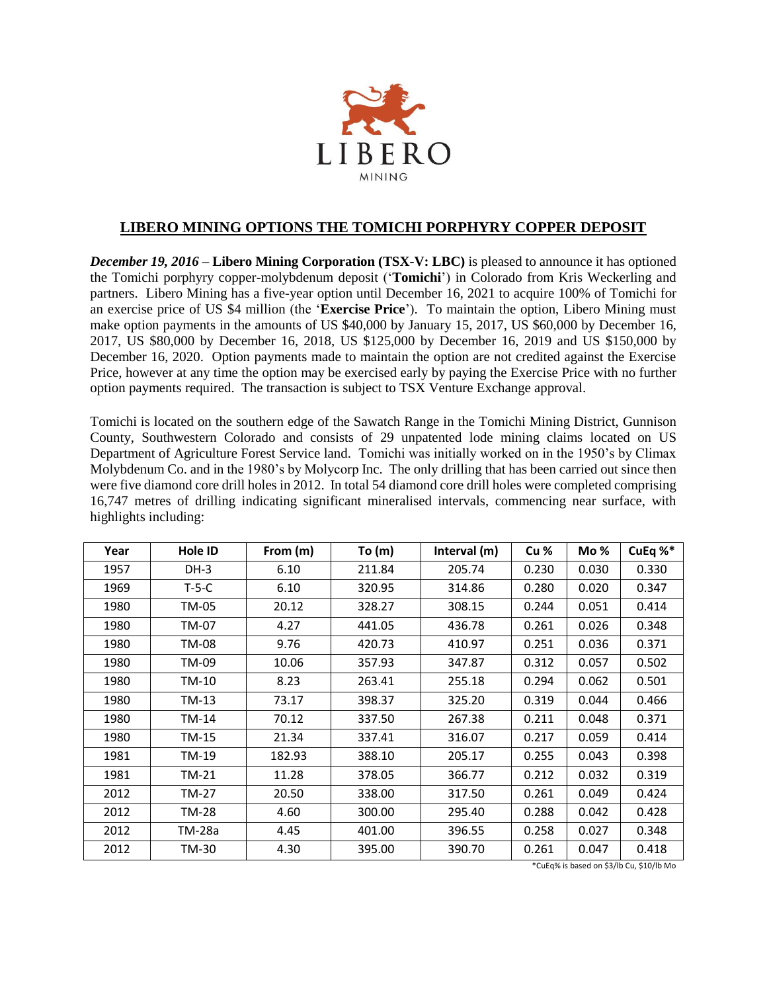

## **LIBERO MINING OPTIONS THE TOMICHI PORPHYRY COPPER DEPOSIT**

*December 19, 2016* **– Libero Mining Corporation (TSX-V: LBC)** is pleased to announce it has optioned the Tomichi porphyry copper-molybdenum deposit ('**Tomichi**') in Colorado from Kris Weckerling and partners. Libero Mining has a five-year option until December 16, 2021 to acquire 100% of Tomichi for an exercise price of US \$4 million (the '**Exercise Price**'). To maintain the option, Libero Mining must make option payments in the amounts of US \$40,000 by January 15, 2017, US \$60,000 by December 16, 2017, US \$80,000 by December 16, 2018, US \$125,000 by December 16, 2019 and US \$150,000 by December 16, 2020. Option payments made to maintain the option are not credited against the Exercise Price, however at any time the option may be exercised early by paying the Exercise Price with no further option payments required. The transaction is subject to TSX Venture Exchange approval.

Tomichi is located on the southern edge of the Sawatch Range in the Tomichi Mining District, Gunnison County, Southwestern Colorado and consists of 29 unpatented lode mining claims located on US Department of Agriculture Forest Service land. Tomichi was initially worked on in the 1950's by Climax Molybdenum Co. and in the 1980's by Molycorp Inc. The only drilling that has been carried out since then were five diamond core drill holes in 2012. In total 54 diamond core drill holes were completed comprising 16,747 metres of drilling indicating significant mineralised intervals, commencing near surface, with highlights including:

| Year | Hole ID | From (m) | To $(m)$ | Interval (m) | Cu %  | Mo %  | CuEq %* |
|------|---------|----------|----------|--------------|-------|-------|---------|
| 1957 | $DH-3$  | 6.10     | 211.84   | 205.74       | 0.230 | 0.030 | 0.330   |
| 1969 | $T-5-C$ | 6.10     | 320.95   | 314.86       | 0.280 | 0.020 | 0.347   |
| 1980 | TM-05   | 20.12    | 328.27   | 308.15       | 0.244 | 0.051 | 0.414   |
| 1980 | TM-07   | 4.27     | 441.05   | 436.78       | 0.261 | 0.026 | 0.348   |
| 1980 | TM-08   | 9.76     | 420.73   | 410.97       | 0.251 | 0.036 | 0.371   |
| 1980 | TM-09   | 10.06    | 357.93   | 347.87       | 0.312 | 0.057 | 0.502   |
| 1980 | TM-10   | 8.23     | 263.41   | 255.18       | 0.294 | 0.062 | 0.501   |
| 1980 | TM-13   | 73.17    | 398.37   | 325.20       | 0.319 | 0.044 | 0.466   |
| 1980 | TM-14   | 70.12    | 337.50   | 267.38       | 0.211 | 0.048 | 0.371   |
| 1980 | TM-15   | 21.34    | 337.41   | 316.07       | 0.217 | 0.059 | 0.414   |
| 1981 | TM-19   | 182.93   | 388.10   | 205.17       | 0.255 | 0.043 | 0.398   |
| 1981 | TM-21   | 11.28    | 378.05   | 366.77       | 0.212 | 0.032 | 0.319   |
| 2012 | TM-27   | 20.50    | 338.00   | 317.50       | 0.261 | 0.049 | 0.424   |
| 2012 | TM-28   | 4.60     | 300.00   | 295.40       | 0.288 | 0.042 | 0.428   |
| 2012 | TM-28a  | 4.45     | 401.00   | 396.55       | 0.258 | 0.027 | 0.348   |
| 2012 | TM-30   | 4.30     | 395.00   | 390.70       | 0.261 | 0.047 | 0.418   |

\*CuEq% is based on \$3/lb Cu, \$10/lb Mo